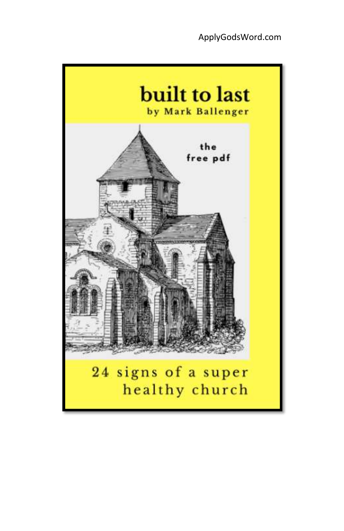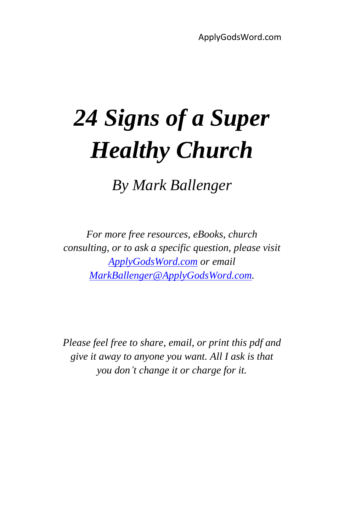# *24 Signs of a Super Healthy Church*

*By Mark Ballenger*

*For more free resources, eBooks, church consulting, or to ask a specific question, please visit [ApplyGodsWord.com](http://applygodsword.com/about/) or email [MarkBallenger@ApplyGodsWord.com.](mailto:MarkBallenger@ApplyGodsWord.com)*

*Please feel free to share, email, or print this pdf and give it away to anyone you want. All I ask is that you don't change it or charge for it.*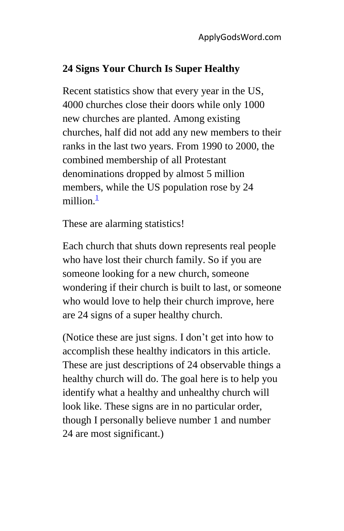#### **24 Signs Your Church Is Super Healthy**

Recent statistics show that every year in the US, 4000 churches close their doors while only 1000 new churches are planted. Among existing churches, half did not add any new members to their ranks in the last two years. From 1990 to 2000, the combined membership of all Protestant denominations dropped by almost 5 million members, while the US population rose by 24 million $\frac{1}{2}$ 

These are alarming statistics!

Each church that shuts down represents real people who have lost their church family. So if you are someone looking for a new church, someone wondering if their church is built to last, or someone who would love to help their church improve, here are 24 signs of a super healthy church.

(Notice these are just signs. I don't get into how to accomplish these healthy indicators in this article. These are just descriptions of 24 observable things a healthy church will do. The goal here is to help you identify what a healthy and unhealthy church will look like. These signs are in no particular order, though I personally believe number 1 and number 24 are most significant.)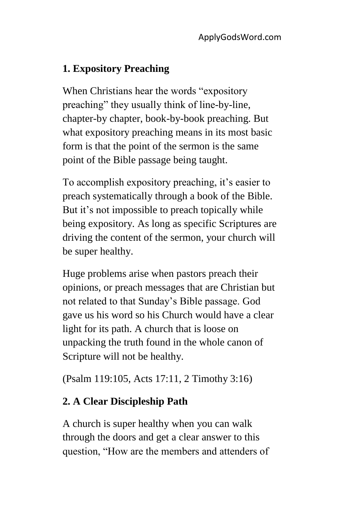## **1. Expository Preaching**

When Christians hear the words "expository preaching" they usually think of line-by-line, chapter-by chapter, book-by-book preaching. But what expository preaching means in its most basic form is that the point of the sermon is the same point of the Bible passage being taught.

To accomplish expository preaching, it's easier to preach systematically through a book of the Bible. But it's not impossible to preach topically while being expository. As long as specific Scriptures are driving the content of the sermon, your church will be super healthy.

Huge problems arise when pastors preach their opinions, or preach messages that are Christian but not related to that Sunday's Bible passage. God gave us his word so his Church would have a clear light for its path. A church that is loose on unpacking the truth found in the whole canon of Scripture will not be healthy.

(Psalm 119:105, Acts 17:11, 2 Timothy 3:16)

# **2. A Clear Discipleship Path**

A church is super healthy when you can walk through the doors and get a clear answer to this question, "How are the members and attenders of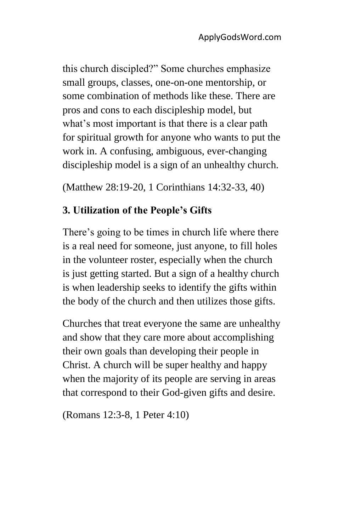this church discipled?" Some churches emphasize small groups, classes, one-on-one mentorship, or some combination of methods like these. There are pros and cons to each discipleship model, but what's most important is that there is a clear path for spiritual growth for anyone who wants to put the work in. A confusing, ambiguous, ever-changing discipleship model is a sign of an unhealthy church.

(Matthew 28:19-20, 1 Corinthians 14:32-33, 40)

#### **3. Utilization of the People's Gifts**

There's going to be times in church life where there is a real need for someone, just anyone, to fill holes in the volunteer roster, especially when the church is just getting started. But a sign of a healthy church is when leadership seeks to identify the gifts within the body of the church and then utilizes those gifts.

Churches that treat everyone the same are unhealthy and show that they care more about accomplishing their own goals than developing their people in Christ. A church will be super healthy and happy when the majority of its people are serving in areas that correspond to their God-given gifts and desire.

(Romans 12:3-8, 1 Peter 4:10)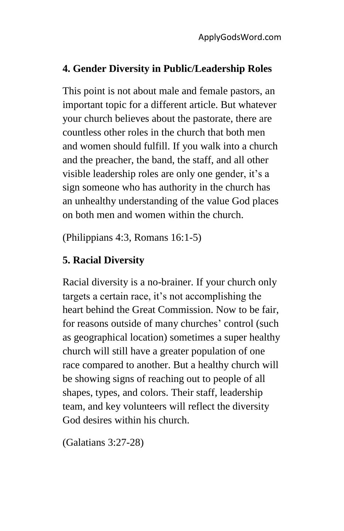### **4. Gender Diversity in Public/Leadership Roles**

This point is not about male and female pastors, an important topic for a different article. But whatever your church believes about the pastorate, there are countless other roles in the church that both men and women should fulfill. If you walk into a church and the preacher, the band, the staff, and all other visible leadership roles are only one gender, it's a sign someone who has authority in the church has an unhealthy understanding of the value God places on both men and women within the church.

(Philippians 4:3, Romans 16:1-5)

### **5. Racial Diversity**

Racial diversity is a no-brainer. If your church only targets a certain race, it's not accomplishing the heart behind the Great Commission. Now to be fair, for reasons outside of many churches' control (such as geographical location) sometimes a super healthy church will still have a greater population of one race compared to another. But a healthy church will be showing signs of reaching out to people of all shapes, types, and colors. Their staff, leadership team, and key volunteers will reflect the diversity God desires within his church.

(Galatians 3:27-28)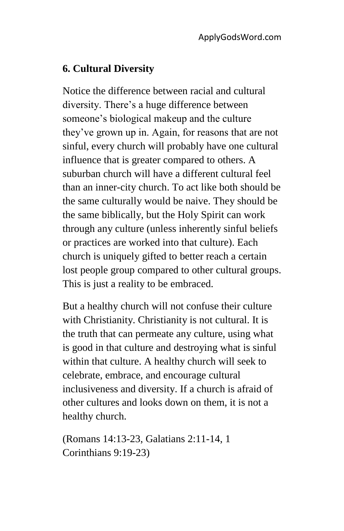#### **6. Cultural Diversity**

Notice the difference between racial and cultural diversity. There's a huge difference between someone's biological makeup and the culture they've grown up in. Again, for reasons that are not sinful, every church will probably have one cultural influence that is greater compared to others. A suburban church will have a different cultural feel than an inner-city church. To act like both should be the same culturally would be naive. They should be the same biblically, but the Holy Spirit can work through any culture (unless inherently sinful beliefs or practices are worked into that culture). Each church is uniquely gifted to better reach a certain lost people group compared to other cultural groups. This is just a reality to be embraced.

But a healthy church will not confuse their culture with Christianity. Christianity is not cultural. It is the truth that can permeate any culture, using what is good in that culture and destroying what is sinful within that culture. A healthy church will seek to celebrate, embrace, and encourage cultural inclusiveness and diversity. If a church is afraid of other cultures and looks down on them, it is not a healthy church.

(Romans 14:13-23, Galatians 2:11-14, 1 Corinthians 9:19-23)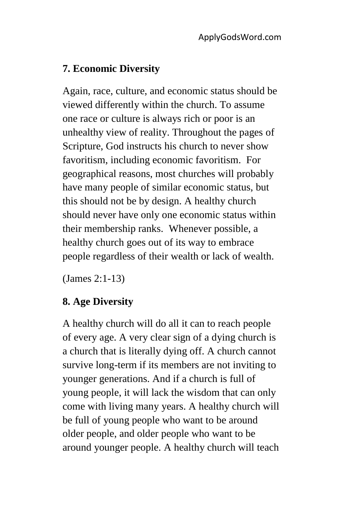#### **7. Economic Diversity**

Again, race, culture, and economic status should be viewed differently within the church. To assume one race or culture is always rich or poor is an unhealthy view of reality. Throughout the pages of Scripture, God instructs his church to never show favoritism, including economic favoritism. For geographical reasons, most churches will probably have many people of similar economic status, but this should not be by design. A healthy church should never have only one economic status within their membership ranks. Whenever possible, a healthy church goes out of its way to embrace people regardless of their wealth or lack of wealth.

(James 2:1-13)

#### **8. Age Diversity**

A healthy church will do all it can to reach people of every age. A very clear sign of a dying church is a church that is literally dying off. A church cannot survive long-term if its members are not inviting to younger generations. And if a church is full of young people, it will lack the wisdom that can only come with living many years. A healthy church will be full of young people who want to be around older people, and older people who want to be around younger people. A healthy church will teach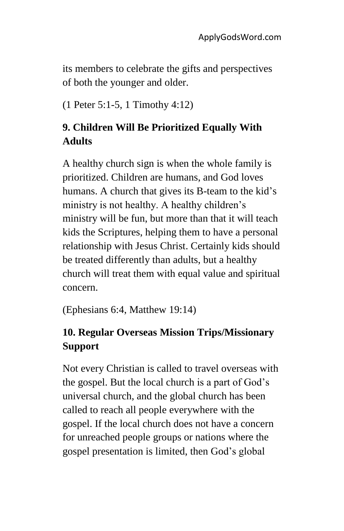its members to celebrate the gifts and perspectives of both the younger and older.

(1 Peter 5:1-5, 1 Timothy 4:12)

# **9. Children Will Be Prioritized Equally With Adults**

A healthy church sign is when the whole family is prioritized. Children are humans, and God loves humans. A church that gives its B-team to the kid's ministry is not healthy. A healthy children's ministry will be fun, but more than that it will teach kids the Scriptures, helping them to have a personal relationship with Jesus Christ. Certainly kids should be treated differently than adults, but a healthy church will treat them with equal value and spiritual concern.

(Ephesians 6:4, Matthew 19:14)

# **10. Regular Overseas Mission Trips/Missionary Support**

Not every Christian is called to travel overseas with the gospel. But the local church is a part of God's universal church, and the global church has been called to reach all people everywhere with the gospel. If the local church does not have a concern for unreached people groups or nations where the gospel presentation is limited, then God's global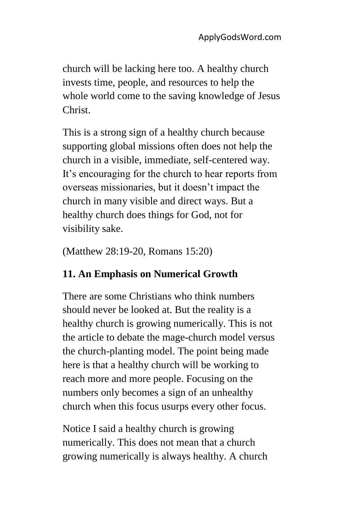church will be lacking here too. A healthy church invests time, people, and resources to help the whole world come to the saving knowledge of Jesus Christ.

This is a strong sign of a healthy church because supporting global missions often does not help the church in a visible, immediate, self-centered way. It's encouraging for the church to hear reports from overseas missionaries, but it doesn't impact the church in many visible and direct ways. But a healthy church does things for God, not for visibility sake.

(Matthew 28:19-20, Romans 15:20)

# **11. An Emphasis on Numerical Growth**

There are some Christians who think numbers should never be looked at. But the reality is a healthy church is growing numerically. This is not the article to debate the mage-church model versus the church-planting model. The point being made here is that a healthy church will be working to reach more and more people. Focusing on the numbers only becomes a sign of an unhealthy church when this focus usurps every other focus.

Notice I said a healthy church is growing numerically. This does not mean that a church growing numerically is always healthy. A church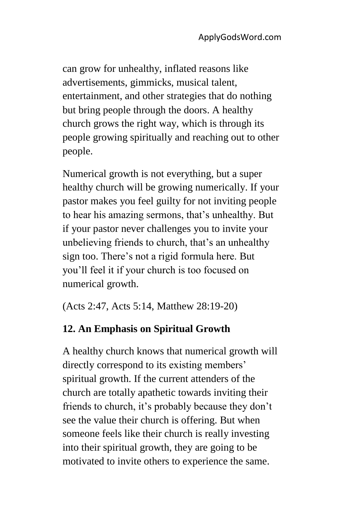can grow for unhealthy, inflated reasons like advertisements, gimmicks, musical talent, entertainment, and other strategies that do nothing but bring people through the doors. A healthy church grows the right way, which is through its people growing spiritually and reaching out to other people.

Numerical growth is not everything, but a super healthy church will be growing numerically. If your pastor makes you feel guilty for not inviting people to hear his amazing sermons, that's unhealthy. But if your pastor never challenges you to invite your unbelieving friends to church, that's an unhealthy sign too. There's not a rigid formula here. But you'll feel it if your church is too focused on numerical growth.

(Acts 2:47, Acts 5:14, Matthew 28:19-20)

## **12. An Emphasis on Spiritual Growth**

A healthy church knows that numerical growth will directly correspond to its existing members' spiritual growth. If the current attenders of the church are totally apathetic towards inviting their friends to church, it's probably because they don't see the value their church is offering. But when someone feels like their church is really investing into their spiritual growth, they are going to be motivated to invite others to experience the same.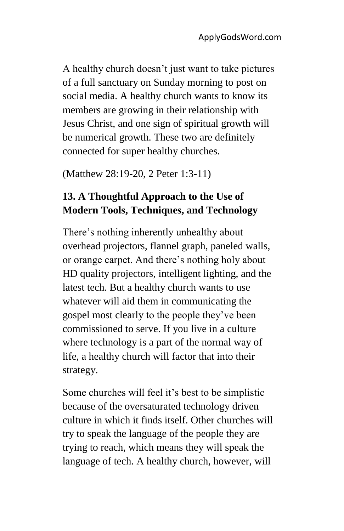A healthy church doesn't just want to take pictures of a full sanctuary on Sunday morning to post on social media. A healthy church wants to know its members are growing in their relationship with Jesus Christ, and one sign of spiritual growth will be numerical growth. These two are definitely connected for super healthy churches.

(Matthew 28:19-20, 2 Peter 1:3-11)

## **13. A Thoughtful Approach to the Use of Modern Tools, Techniques, and Technology**

There's nothing inherently unhealthy about overhead projectors, flannel graph, paneled walls, or orange carpet. And there's nothing holy about HD quality projectors, intelligent lighting, and the latest tech. But a healthy church wants to use whatever will aid them in communicating the gospel most clearly to the people they've been commissioned to serve. If you live in a culture where technology is a part of the normal way of life, a healthy church will factor that into their strategy.

Some churches will feel it's best to be simplistic because of the oversaturated technology driven culture in which it finds itself. Other churches will try to speak the language of the people they are trying to reach, which means they will speak the language of tech. A healthy church, however, will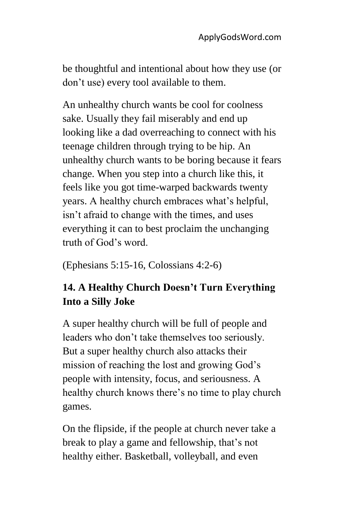be thoughtful and intentional about how they use (or don't use) every tool available to them.

An unhealthy church wants be cool for coolness sake. Usually they fail miserably and end up looking like a dad overreaching to connect with his teenage children through trying to be hip. An unhealthy church wants to be boring because it fears change. When you step into a church like this, it feels like you got time-warped backwards twenty years. A healthy church embraces what's helpful, isn't afraid to change with the times, and uses everything it can to best proclaim the unchanging truth of God's word.

(Ephesians 5:15-16, Colossians 4:2-6)

# **14. A Healthy Church Doesn't Turn Everything Into a Silly Joke**

A super healthy church will be full of people and leaders who don't take themselves too seriously. But a super healthy church also attacks their mission of reaching the lost and growing God's people with intensity, focus, and seriousness. A healthy church knows there's no time to play church games.

On the flipside, if the people at church never take a break to play a game and fellowship, that's not healthy either. Basketball, volleyball, and even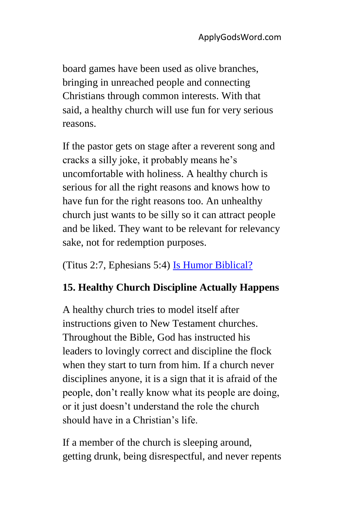board games have been used as olive branches, bringing in unreached people and connecting Christians through common interests. With that said, a healthy church will use fun for very serious reasons.

If the pastor gets on stage after a reverent song and cracks a silly joke, it probably means he's uncomfortable with holiness. A healthy church is serious for all the right reasons and knows how to have fun for the right reasons too. An unhealthy church just wants to be silly so it can attract people and be liked. They want to be relevant for relevancy sake, not for redemption purposes.

(Titus 2:7, Ephesians 5:4) [Is Humor Biblical?](http://applygodsword.com/is-humor-biblical/)

## **15. Healthy Church Discipline Actually Happens**

A healthy church tries to model itself after instructions given to New Testament churches. Throughout the Bible, God has instructed his leaders to lovingly correct and discipline the flock when they start to turn from him. If a church never disciplines anyone, it is a sign that it is afraid of the people, don't really know what its people are doing, or it just doesn't understand the role the church should have in a Christian's life.

If a member of the church is sleeping around, getting drunk, being disrespectful, and never repents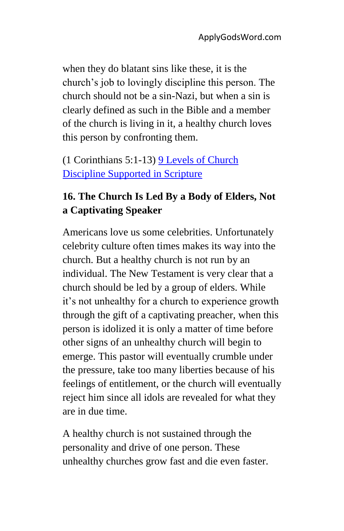when they do blatant sins like these, it is the church's job to lovingly discipline this person. The church should not be a sin-Nazi, but when a sin is clearly defined as such in the Bible and a member of the church is living in it, a healthy church loves this person by confronting them.

(1 Corinthians 5:1-13) [9 Levels of Church](http://applygodsword.com/bible-verses-on-church-discipline/)  [Discipline Supported in Scripture](http://applygodsword.com/bible-verses-on-church-discipline/)

## **16. The Church Is Led By a Body of Elders, Not a Captivating Speaker**

Americans love us some celebrities. Unfortunately celebrity culture often times makes its way into the church. But a healthy church is not run by an individual. The New Testament is very clear that a church should be led by a group of elders. While it's not unhealthy for a church to experience growth through the gift of a captivating preacher, when this person is idolized it is only a matter of time before other signs of an unhealthy church will begin to emerge. This pastor will eventually crumble under the pressure, take too many liberties because of his feelings of entitlement, or the church will eventually reject him since all idols are revealed for what they are in due time.

A healthy church is not sustained through the personality and drive of one person. These unhealthy churches grow fast and die even faster.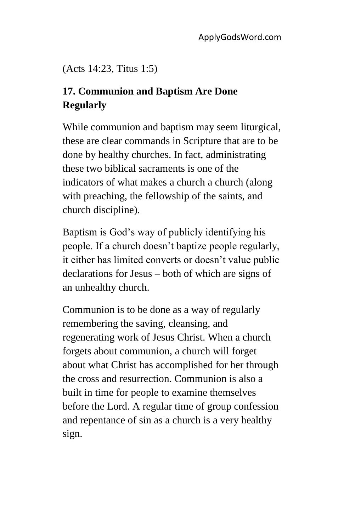(Acts 14:23, Titus 1:5)

# **17. Communion and Baptism Are Done Regularly**

While communion and baptism may seem liturgical, these are clear commands in Scripture that are to be done by healthy churches. In fact, administrating these two biblical sacraments is one of the indicators of what makes a church a church (along with preaching, the fellowship of the saints, and church discipline).

Baptism is God's way of publicly identifying his people. If a church doesn't baptize people regularly, it either has limited converts or doesn't value public declarations for Jesus – both of which are signs of an unhealthy church.

Communion is to be done as a way of regularly remembering the saving, cleansing, and regenerating work of Jesus Christ. When a church forgets about communion, a church will forget about what Christ has accomplished for her through the cross and resurrection. Communion is also a built in time for people to examine themselves before the Lord. A regular time of group confession and repentance of sin as a church is a very healthy sign.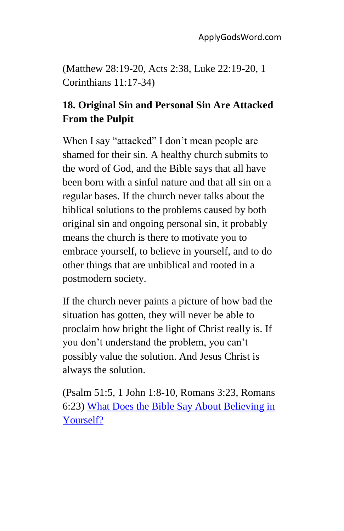(Matthew 28:19-20, Acts 2:38, Luke 22:19-20, 1 Corinthians 11:17-34)

# **18. Original Sin and Personal Sin Are Attacked From the Pulpit**

When I say "attacked" I don't mean people are shamed for their sin. A healthy church submits to the word of God, and the Bible says that all have been born with a sinful nature and that all sin on a regular bases. If the church never talks about the biblical solutions to the problems caused by both original sin and ongoing personal sin, it probably means the church is there to motivate you to embrace yourself, to believe in yourself, and to do other things that are unbiblical and rooted in a postmodern society.

If the church never paints a picture of how bad the situation has gotten, they will never be able to proclaim how bright the light of Christ really is. If you don't understand the problem, you can't possibly value the solution. And Jesus Christ is always the solution.

(Psalm 51:5, 1 John 1:8-10, Romans 3:23, Romans 6:23) [What Does the Bible Say About Believing in](http://applygodsword.com/what-does-the-bible-say-about-believing-in-yourself/)  [Yourself?](http://applygodsword.com/what-does-the-bible-say-about-believing-in-yourself/)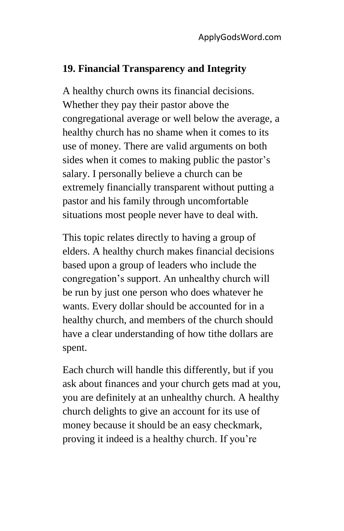#### **19. Financial Transparency and Integrity**

A healthy church owns its financial decisions. Whether they pay their pastor above the congregational average or well below the average, a healthy church has no shame when it comes to its use of money. There are valid arguments on both sides when it comes to making public the pastor's salary. I personally believe a church can be extremely financially transparent without putting a pastor and his family through uncomfortable situations most people never have to deal with.

This topic relates directly to having a group of elders. A healthy church makes financial decisions based upon a group of leaders who include the congregation's support. An unhealthy church will be run by just one person who does whatever he wants. Every dollar should be accounted for in a healthy church, and members of the church should have a clear understanding of how tithe dollars are spent.

Each church will handle this differently, but if you ask about finances and your church gets mad at you, you are definitely at an unhealthy church. A healthy church delights to give an account for its use of money because it should be an easy checkmark, proving it indeed is a healthy church. If you're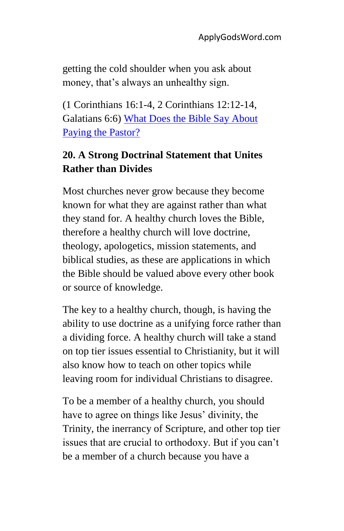getting the cold shoulder when you ask about money, that's always an unhealthy sign.

(1 Corinthians 16:1-4, 2 Corinthians 12:12-14, Galatians 6:6) [What Does the Bible Say About](http://applygodsword.com/how-much-money-should-a-pastor-make/)  [Paying the Pastor?](http://applygodsword.com/how-much-money-should-a-pastor-make/)

# **20. A Strong Doctrinal Statement that Unites Rather than Divides**

Most churches never grow because they become known for what they are against rather than what they stand for. A healthy church loves the Bible, therefore a healthy church will love doctrine, theology, apologetics, mission statements, and biblical studies, as these are applications in which the Bible should be valued above every other book or source of knowledge.

The key to a healthy church, though, is having the ability to use doctrine as a unifying force rather than a dividing force. A healthy church will take a stand on top tier issues essential to Christianity, but it will also know how to teach on other topics while leaving room for individual Christians to disagree.

To be a member of a healthy church, you should have to agree on things like Jesus' divinity, the Trinity, the inerrancy of Scripture, and other top tier issues that are crucial to orthodoxy. But if you can't be a member of a church because you have a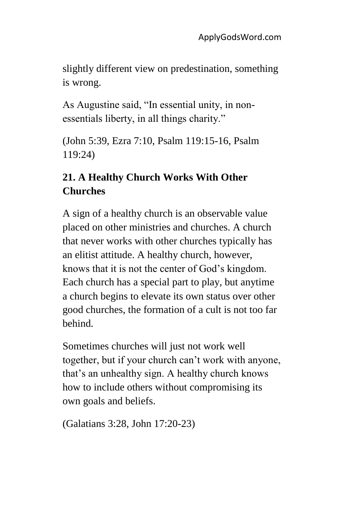slightly different view on predestination, something is wrong.

As Augustine said, "In essential unity, in nonessentials liberty, in all things charity."

(John 5:39, Ezra 7:10, Psalm 119:15-16, Psalm 119:24)

## **21. A Healthy Church Works With Other Churches**

A sign of a healthy church is an observable value placed on other ministries and churches. A church that never works with other churches typically has an elitist attitude. A healthy church, however, knows that it is not the center of God's kingdom. Each church has a special part to play, but anytime a church begins to elevate its own status over other good churches, the formation of a cult is not too far behind.

Sometimes churches will just not work well together, but if your church can't work with anyone, that's an unhealthy sign. A healthy church knows how to include others without compromising its own goals and beliefs.

(Galatians 3:28, John 17:20-23)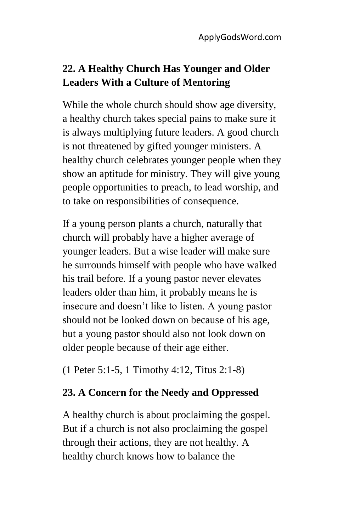# **22. A Healthy Church Has Younger and Older Leaders With a Culture of Mentoring**

While the whole church should show age diversity, a healthy church takes special pains to make sure it is always multiplying future leaders. A good church is not threatened by gifted younger ministers. A healthy church celebrates younger people when they show an aptitude for ministry. They will give young people opportunities to preach, to lead worship, and to take on responsibilities of consequence.

If a young person plants a church, naturally that church will probably have a higher average of younger leaders. But a wise leader will make sure he surrounds himself with people who have walked his trail before. If a young pastor never elevates leaders older than him, it probably means he is insecure and doesn't like to listen. A young pastor should not be looked down on because of his age, but a young pastor should also not look down on older people because of their age either.

(1 Peter 5:1-5, 1 Timothy 4:12, Titus 2:1-8)

## **23. A Concern for the Needy and Oppressed**

A healthy church is about proclaiming the gospel. But if a church is not also proclaiming the gospel through their actions, they are not healthy. A healthy church knows how to balance the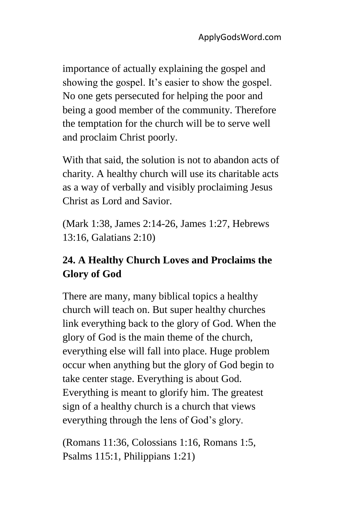importance of actually explaining the gospel and showing the gospel. It's easier to show the gospel. No one gets persecuted for helping the poor and being a good member of the community. Therefore the temptation for the church will be to serve well and proclaim Christ poorly.

With that said, the solution is not to abandon acts of charity. A healthy church will use its charitable acts as a way of verbally and visibly proclaiming Jesus Christ as Lord and Savior.

(Mark 1:38, James 2:14-26, James 1:27, Hebrews 13:16, Galatians 2:10)

# **24. A Healthy Church Loves and Proclaims the Glory of God**

There are many, many biblical topics a healthy church will teach on. But super healthy churches link everything back to the glory of God. When the glory of God is the main theme of the church, everything else will fall into place. Huge problem occur when anything but the glory of God begin to take center stage. Everything is about God. Everything is meant to glorify him. The greatest sign of a healthy church is a church that views everything through the lens of God's glory.

(Romans 11:36, Colossians 1:16, Romans 1:5, Psalms 115:1, Philippians 1:21)